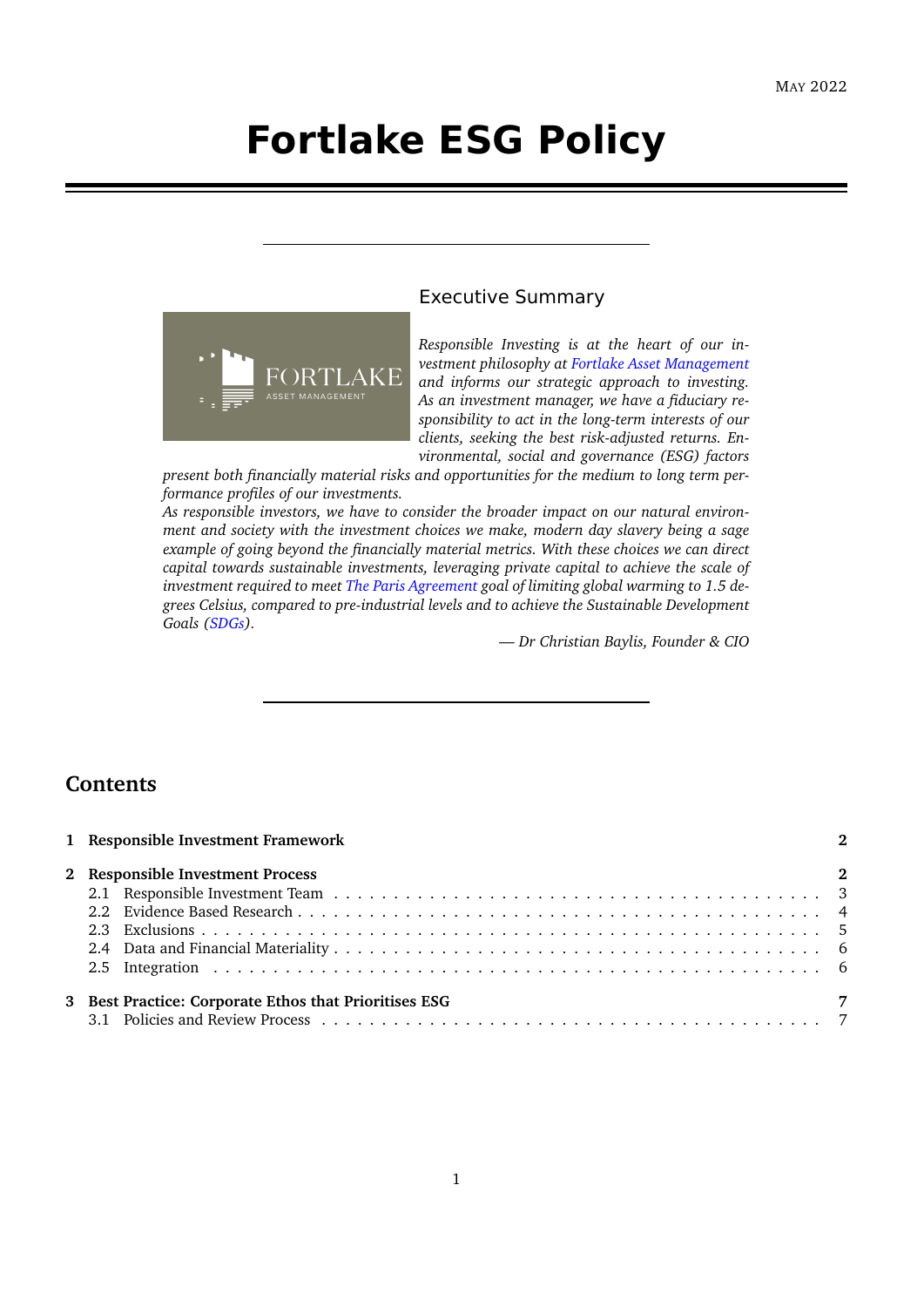# **Fortlake ESG Policy**



## Executive Summary

*Responsible Investing is at the heart of our investment philosophy at [Fortlake Asset Management](www.fortlake.com.au) and informs our strategic approach to investing. As an investment manager, we have a fiduciary responsibility to act in the long-term interests of our clients, seeking the best risk-adjusted returns. Environmental, social and governance (ESG) factors*

*present both financially material risks and opportunities for the medium to long term performance profiles of our investments.*

*As responsible investors, we have to consider the broader impact on our natural environment and society with the investment choices we make, modern day slavery being a sage example of going beyond the financially material metrics. With these choices we can direct capital towards sustainable investments, leveraging private capital to achieve the scale of investment required to meet [The Paris Agreement](https://unfccc.int/process-and-meetings/the-paris-agreement/the-paris-agreement) goal of limiting global warming to 1.5 degrees Celsius, compared to pre-industrial levels and to achieve the Sustainable Development Goals [\(SDGs\)](https://sdgs.un.org/goals).*

*— Dr Christian Baylis, Founder & CIO*

# **Contents**

| 1 Responsible Investment Framework                    |                |
|-------------------------------------------------------|----------------|
| 2 Responsible Investment Process                      | $\overline{2}$ |
| 3 Best Practice: Corporate Ethos that Prioritises ESG | -7             |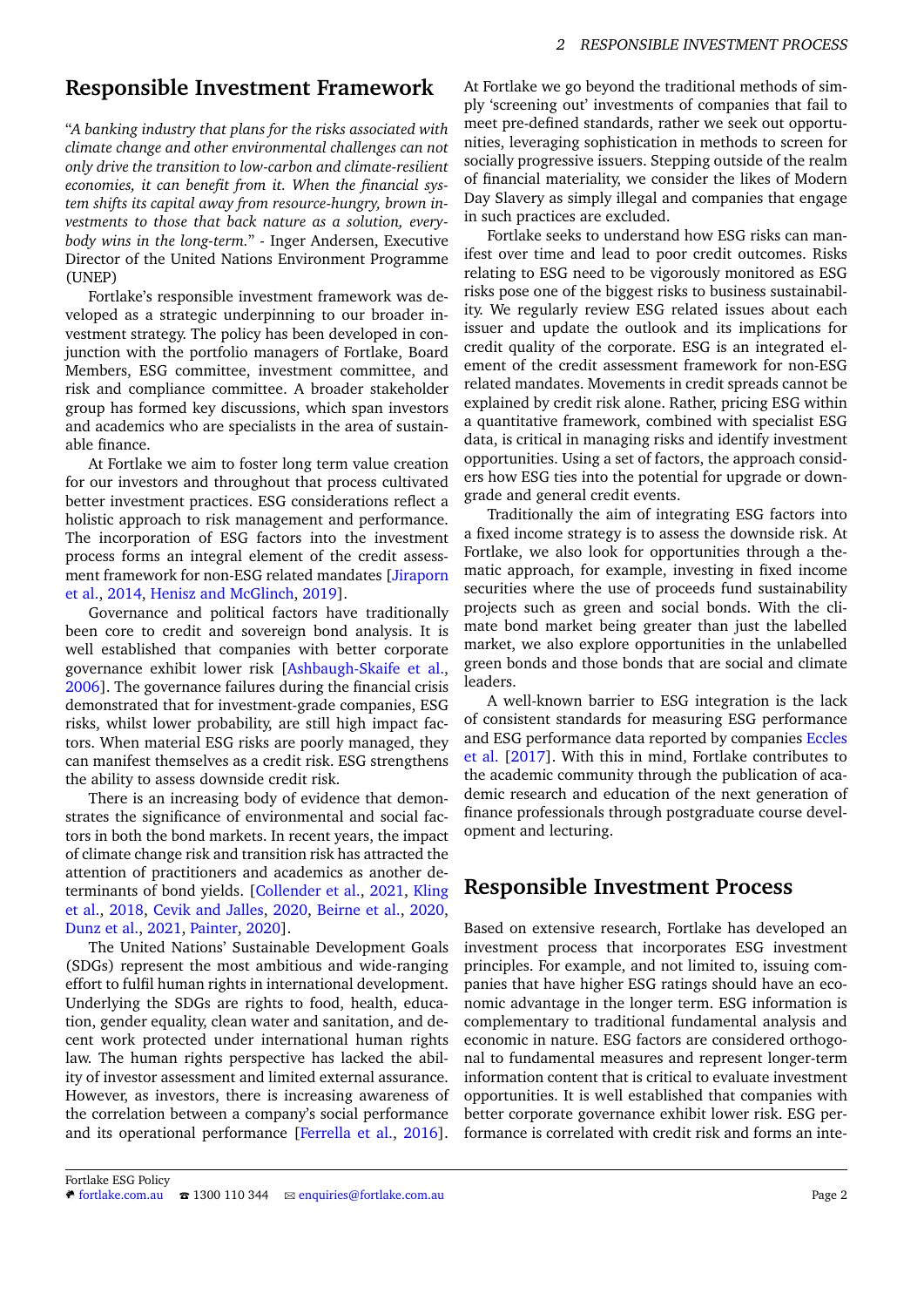# <span id="page-1-0"></span>**Responsible Investment Framework**

"*A banking industry that plans for the risks associated with climate change and other environmental challenges can not only drive the transition to low-carbon and climate-resilient economies, it can benefit from it. When the financial system shifts its capital away from resource-hungry, brown investments to those that back nature as a solution, everybody wins in the long-term.*" - Inger Andersen, Executive Director of the United Nations Environment Programme (UNEP)

Fortlake's responsible investment framework was developed as a strategic underpinning to our broader investment strategy. The policy has been developed in conjunction with the portfolio managers of Fortlake, Board Members, ESG committee, investment committee, and risk and compliance committee. A broader stakeholder group has formed key discussions, which span investors and academics who are specialists in the area of sustainable finance.

At Fortlake we aim to foster long term value creation for our investors and throughout that process cultivated better investment practices. ESG considerations reflect a holistic approach to risk management and performance. The incorporation of ESG factors into the investment process forms an integral element of the credit assessment framework for non-ESG related mandates [\[Jiraporn](#page-7-0) [et al.,](#page-7-0) [2014,](#page-7-0) [Henisz and McGlinch,](#page-7-1) [2019\]](#page-7-1).

Governance and political factors have traditionally been core to credit and sovereign bond analysis. It is well established that companies with better corporate governance exhibit lower risk [\[Ashbaugh-Skaife et al.,](#page-7-2) [2006\]](#page-7-2). The governance failures during the financial crisis demonstrated that for investment-grade companies, ESG risks, whilst lower probability, are still high impact factors. When material ESG risks are poorly managed, they can manifest themselves as a credit risk. ESG strengthens the ability to assess downside credit risk.

There is an increasing body of evidence that demonstrates the significance of environmental and social factors in both the bond markets. In recent years, the impact of climate change risk and transition risk has attracted the attention of practitioners and academics as another determinants of bond yields. [\[Collender et al.,](#page-7-3) [2021,](#page-7-3) [Kling](#page-7-4) [et al.,](#page-7-4) [2018,](#page-7-4) [Cevik and Jalles,](#page-7-5) [2020,](#page-7-5) [Beirne et al.,](#page-7-6) [2020,](#page-7-6) [Dunz et al.,](#page-7-7) [2021,](#page-7-7) [Painter,](#page-7-8) [2020\]](#page-7-8).

The United Nations' Sustainable Development Goals (SDGs) represent the most ambitious and wide-ranging effort to fulfil human rights in international development. Underlying the SDGs are rights to food, health, education, gender equality, clean water and sanitation, and decent work protected under international human rights law. The human rights perspective has lacked the ability of investor assessment and limited external assurance. However, as investors, there is increasing awareness of the correlation between a company's social performance and its operational performance [\[Ferrella et al.,](#page-7-9) [2016\]](#page-7-9). At Fortlake we go beyond the traditional methods of simply 'screening out' investments of companies that fail to meet pre-defined standards, rather we seek out opportunities, leveraging sophistication in methods to screen for socially progressive issuers. Stepping outside of the realm of financial materiality, we consider the likes of Modern Day Slavery as simply illegal and companies that engage in such practices are excluded.

Fortlake seeks to understand how ESG risks can manifest over time and lead to poor credit outcomes. Risks relating to ESG need to be vigorously monitored as ESG risks pose one of the biggest risks to business sustainability. We regularly review ESG related issues about each issuer and update the outlook and its implications for credit quality of the corporate. ESG is an integrated element of the credit assessment framework for non-ESG related mandates. Movements in credit spreads cannot be explained by credit risk alone. Rather, pricing ESG within a quantitative framework, combined with specialist ESG data, is critical in managing risks and identify investment opportunities. Using a set of factors, the approach considers how ESG ties into the potential for upgrade or downgrade and general credit events.

Traditionally the aim of integrating ESG factors into a fixed income strategy is to assess the downside risk. At Fortlake, we also look for opportunities through a thematic approach, for example, investing in fixed income securities where the use of proceeds fund sustainability projects such as green and social bonds. With the climate bond market being greater than just the labelled market, we also explore opportunities in the unlabelled green bonds and those bonds that are social and climate leaders.

A well-known barrier to ESG integration is the lack of consistent standards for measuring ESG performance and ESG performance data reported by companies [Eccles](#page-7-10) [et al.](#page-7-10) [\[2017\]](#page-7-10). With this in mind, Fortlake contributes to the academic community through the publication of academic research and education of the next generation of finance professionals through postgraduate course development and lecturing.

# <span id="page-1-1"></span>**Responsible Investment Process**

Based on extensive research, Fortlake has developed an investment process that incorporates ESG investment principles. For example, and not limited to, issuing companies that have higher ESG ratings should have an economic advantage in the longer term. ESG information is complementary to traditional fundamental analysis and economic in nature. ESG factors are considered orthogonal to fundamental measures and represent longer-term information content that is critical to evaluate investment opportunities. It is well established that companies with better corporate governance exhibit lower risk. ESG performance is correlated with credit risk and forms an inte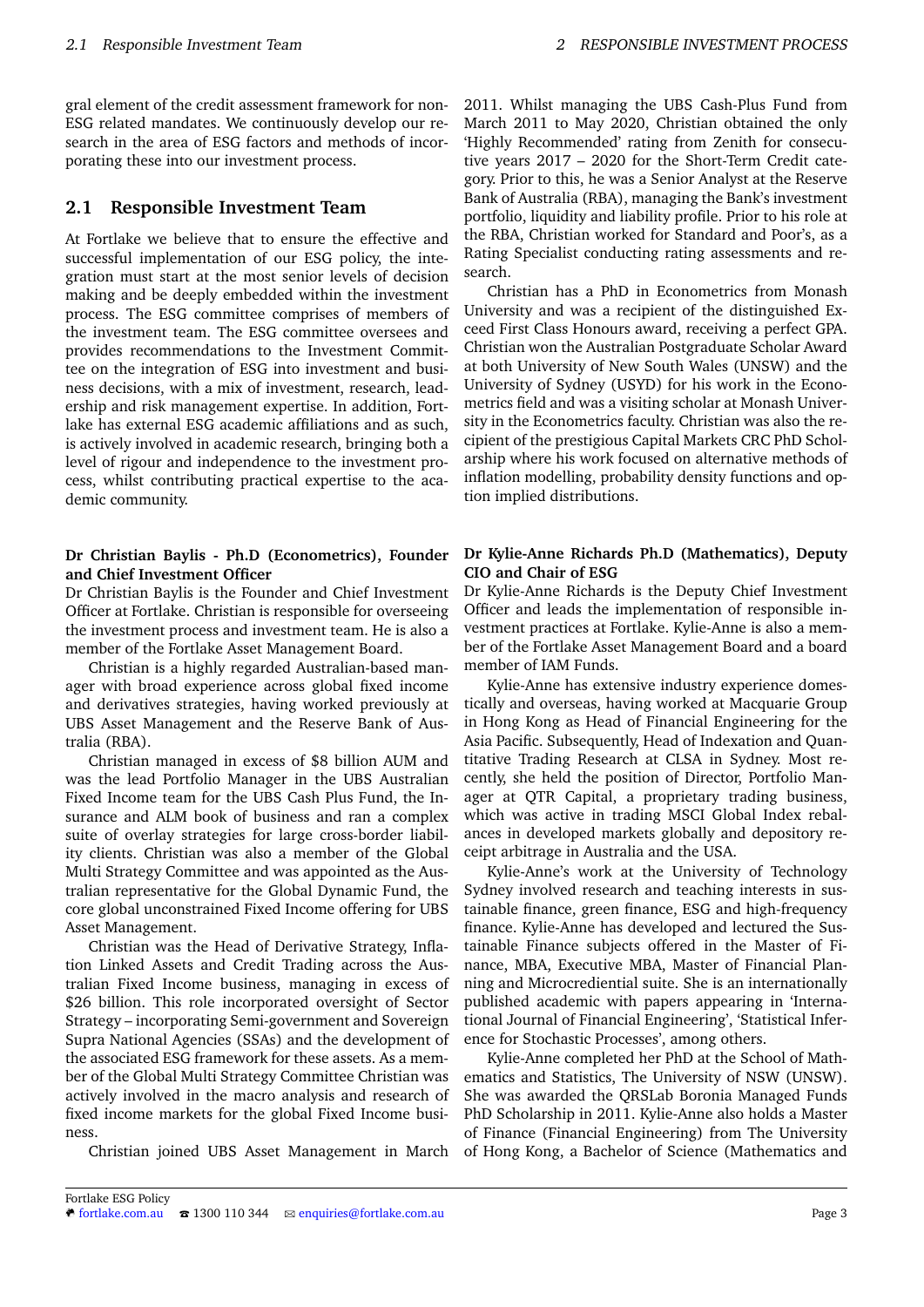gral element of the credit assessment framework for non-ESG related mandates. We continuously develop our research in the area of ESG factors and methods of incorporating these into our investment process.

## <span id="page-2-0"></span>**2.1 Responsible Investment Team**

At Fortlake we believe that to ensure the effective and successful implementation of our ESG policy, the integration must start at the most senior levels of decision making and be deeply embedded within the investment process. The ESG committee comprises of members of the investment team. The ESG committee oversees and provides recommendations to the Investment Committee on the integration of ESG into investment and business decisions, with a mix of investment, research, leadership and risk management expertise. In addition, Fortlake has external ESG academic affiliations and as such, is actively involved in academic research, bringing both a level of rigour and independence to the investment process, whilst contributing practical expertise to the academic community.

#### **Dr Christian Baylis - Ph.D (Econometrics), Founder and Chief Investment Officer**

Dr Christian Baylis is the Founder and Chief Investment Officer at Fortlake. Christian is responsible for overseeing the investment process and investment team. He is also a member of the Fortlake Asset Management Board.

Christian is a highly regarded Australian-based manager with broad experience across global fixed income and derivatives strategies, having worked previously at UBS Asset Management and the Reserve Bank of Australia (RBA).

Christian managed in excess of \$8 billion AUM and was the lead Portfolio Manager in the UBS Australian Fixed Income team for the UBS Cash Plus Fund, the Insurance and ALM book of business and ran a complex suite of overlay strategies for large cross-border liability clients. Christian was also a member of the Global Multi Strategy Committee and was appointed as the Australian representative for the Global Dynamic Fund, the core global unconstrained Fixed Income offering for UBS Asset Management.

Christian was the Head of Derivative Strategy, Inflation Linked Assets and Credit Trading across the Australian Fixed Income business, managing in excess of \$26 billion. This role incorporated oversight of Sector Strategy – incorporating Semi-government and Sovereign Supra National Agencies (SSAs) and the development of the associated ESG framework for these assets. As a member of the Global Multi Strategy Committee Christian was actively involved in the macro analysis and research of fixed income markets for the global Fixed Income business.

Christian joined UBS Asset Management in March

2011. Whilst managing the UBS Cash-Plus Fund from March 2011 to May 2020, Christian obtained the only 'Highly Recommended' rating from Zenith for consecutive years 2017 – 2020 for the Short-Term Credit category. Prior to this, he was a Senior Analyst at the Reserve Bank of Australia (RBA), managing the Bank's investment portfolio, liquidity and liability profile. Prior to his role at the RBA, Christian worked for Standard and Poor's, as a Rating Specialist conducting rating assessments and research.

Christian has a PhD in Econometrics from Monash University and was a recipient of the distinguished Exceed First Class Honours award, receiving a perfect GPA. Christian won the Australian Postgraduate Scholar Award at both University of New South Wales (UNSW) and the University of Sydney (USYD) for his work in the Econometrics field and was a visiting scholar at Monash University in the Econometrics faculty. Christian was also the recipient of the prestigious Capital Markets CRC PhD Scholarship where his work focused on alternative methods of inflation modelling, probability density functions and option implied distributions.

#### **Dr Kylie-Anne Richards Ph.D (Mathematics), Deputy CIO and Chair of ESG**

Dr Kylie-Anne Richards is the Deputy Chief Investment Officer and leads the implementation of responsible investment practices at Fortlake. Kylie-Anne is also a member of the Fortlake Asset Management Board and a board member of IAM Funds.

Kylie-Anne has extensive industry experience domestically and overseas, having worked at Macquarie Group in Hong Kong as Head of Financial Engineering for the Asia Pacific. Subsequently, Head of Indexation and Quantitative Trading Research at CLSA in Sydney. Most recently, she held the position of Director, Portfolio Manager at QTR Capital, a proprietary trading business, which was active in trading MSCI Global Index rebalances in developed markets globally and depository receipt arbitrage in Australia and the USA.

Kylie-Anne's work at the University of Technology Sydney involved research and teaching interests in sustainable finance, green finance, ESG and high-frequency finance. Kylie-Anne has developed and lectured the Sustainable Finance subjects offered in the Master of Finance, MBA, Executive MBA, Master of Financial Planning and Microcrediential suite. She is an internationally published academic with papers appearing in 'International Journal of Financial Engineering', 'Statistical Inference for Stochastic Processes', among others.

Kylie-Anne completed her PhD at the School of Mathematics and Statistics, The University of NSW (UNSW). She was awarded the QRSLab Boronia Managed Funds PhD Scholarship in 2011. Kylie-Anne also holds a Master of Finance (Financial Engineering) from The University of Hong Kong, a Bachelor of Science (Mathematics and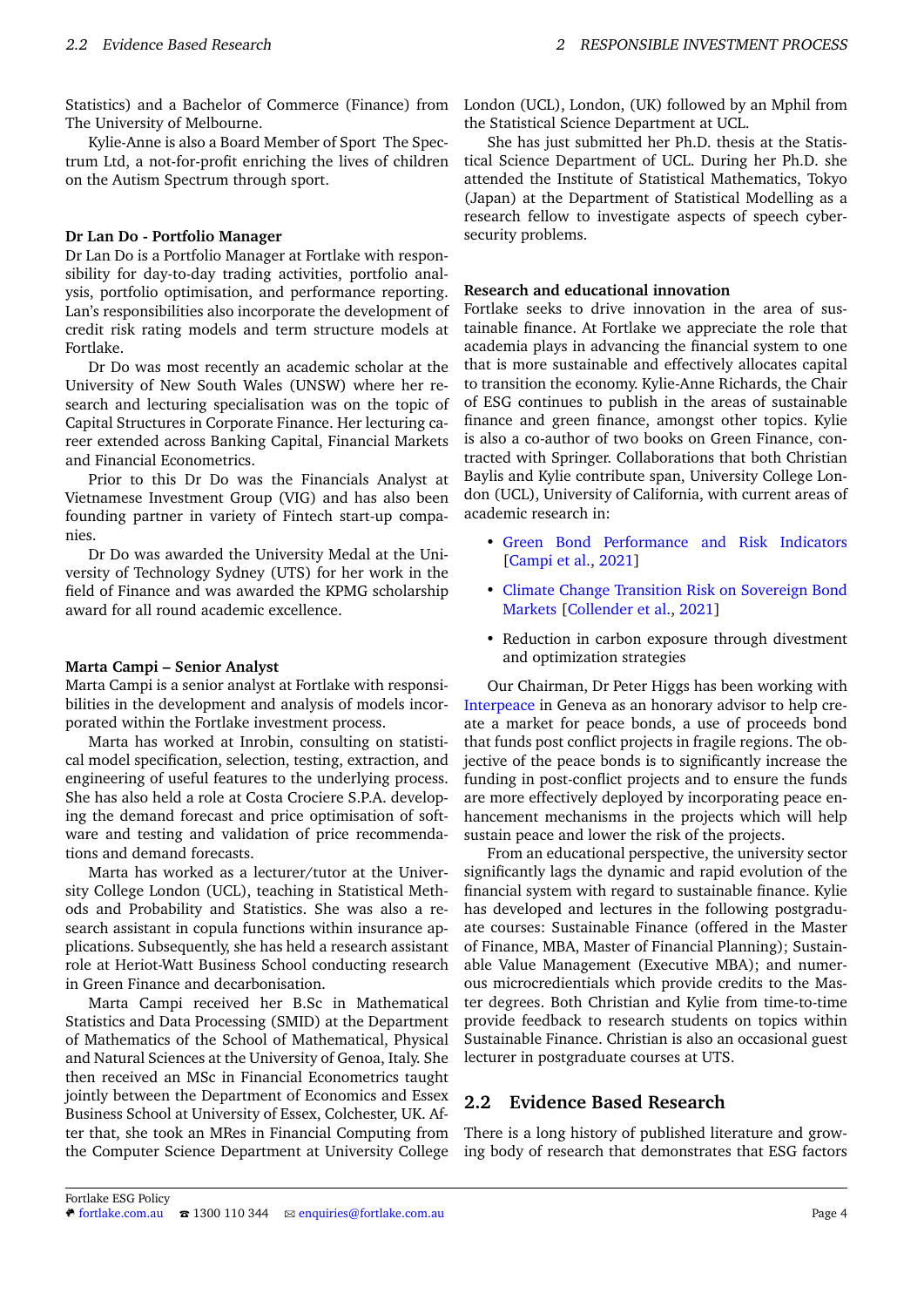Statistics) and a Bachelor of Commerce (Finance) from The University of Melbourne.

Kylie-Anne is also a Board Member of Sport The Spectrum Ltd, a not-for-profit enriching the lives of children on the Autism Spectrum through sport.

#### **Dr Lan Do - Portfolio Manager**

Dr Lan Do is a Portfolio Manager at Fortlake with responsibility for day-to-day trading activities, portfolio analysis, portfolio optimisation, and performance reporting. Lan's responsibilities also incorporate the development of credit risk rating models and term structure models at Fortlake.

Dr Do was most recently an academic scholar at the University of New South Wales (UNSW) where her research and lecturing specialisation was on the topic of Capital Structures in Corporate Finance. Her lecturing career extended across Banking Capital, Financial Markets and Financial Econometrics.

Prior to this Dr Do was the Financials Analyst at Vietnamese Investment Group (VIG) and has also been founding partner in variety of Fintech start-up companies.

Dr Do was awarded the University Medal at the University of Technology Sydney (UTS) for her work in the field of Finance and was awarded the KPMG scholarship award for all round academic excellence.

#### **Marta Campi – Senior Analyst**

Marta Campi is a senior analyst at Fortlake with responsibilities in the development and analysis of models incorporated within the Fortlake investment process.

Marta has worked at Inrobin, consulting on statistical model specification, selection, testing, extraction, and engineering of useful features to the underlying process. She has also held a role at Costa Crociere S.P.A. developing the demand forecast and price optimisation of software and testing and validation of price recommendations and demand forecasts.

Marta has worked as a lecturer/tutor at the University College London (UCL), teaching in Statistical Methods and Probability and Statistics. She was also a research assistant in copula functions within insurance applications. Subsequently, she has held a research assistant role at Heriot-Watt Business School conducting research in Green Finance and decarbonisation.

Marta Campi received her B.Sc in Mathematical Statistics and Data Processing (SMID) at the Department of Mathematics of the School of Mathematical, Physical and Natural Sciences at the University of Genoa, Italy. She then received an MSc in Financial Econometrics taught jointly between the Department of Economics and Essex Business School at University of Essex, Colchester, UK. After that, she took an MRes in Financial Computing from the Computer Science Department at University College

London (UCL), London, (UK) followed by an Mphil from the Statistical Science Department at UCL.

She has just submitted her Ph.D. thesis at the Statistical Science Department of UCL. During her Ph.D. she attended the Institute of Statistical Mathematics, Tokyo (Japan) at the Department of Statistical Modelling as a research fellow to investigate aspects of speech cybersecurity problems.

#### **Research and educational innovation**

Fortlake seeks to drive innovation in the area of sustainable finance. At Fortlake we appreciate the role that academia plays in advancing the financial system to one that is more sustainable and effectively allocates capital to transition the economy. Kylie-Anne Richards, the Chair of ESG continues to publish in the areas of sustainable finance and green finance, amongst other topics. Kylie is also a co-author of two books on Green Finance, contracted with Springer. Collaborations that both Christian Baylis and Kylie contribute span, University College London (UCL), University of California, with current areas of academic research in:

- [Green Bond Performance and Risk Indicators](https://papers.ssrn.com/sol3/papers.cfm?abstract_id=3808550) [\[Campi et al.,](#page-7-11) [2021\]](#page-7-11)
- [Climate Change Transition Risk on Sovereign Bond](https://papers.ssrn.com/sol3/papers.cfm?abstract_id=3861350) [Markets](https://papers.ssrn.com/sol3/papers.cfm?abstract_id=3861350) [\[Collender et al.,](#page-7-3) [2021\]](#page-7-3)
- Reduction in carbon exposure through divestment and optimization strategies

Our Chairman, Dr Peter Higgs has been working with [Interpeace](www.interpeace.org) in Geneva as an honorary advisor to help create a market for peace bonds, a use of proceeds bond that funds post conflict projects in fragile regions. The objective of the peace bonds is to significantly increase the funding in post-conflict projects and to ensure the funds are more effectively deployed by incorporating peace enhancement mechanisms in the projects which will help sustain peace and lower the risk of the projects.

From an educational perspective, the university sector significantly lags the dynamic and rapid evolution of the financial system with regard to sustainable finance. Kylie has developed and lectures in the following postgraduate courses: Sustainable Finance (offered in the Master of Finance, MBA, Master of Financial Planning); Sustainable Value Management (Executive MBA); and numerous microcredientials which provide credits to the Master degrees. Both Christian and Kylie from time-to-time provide feedback to research students on topics within Sustainable Finance. Christian is also an occasional guest lecturer in postgraduate courses at UTS.

## <span id="page-3-0"></span>**2.2 Evidence Based Research**

There is a long history of published literature and growing body of research that demonstrates that ESG factors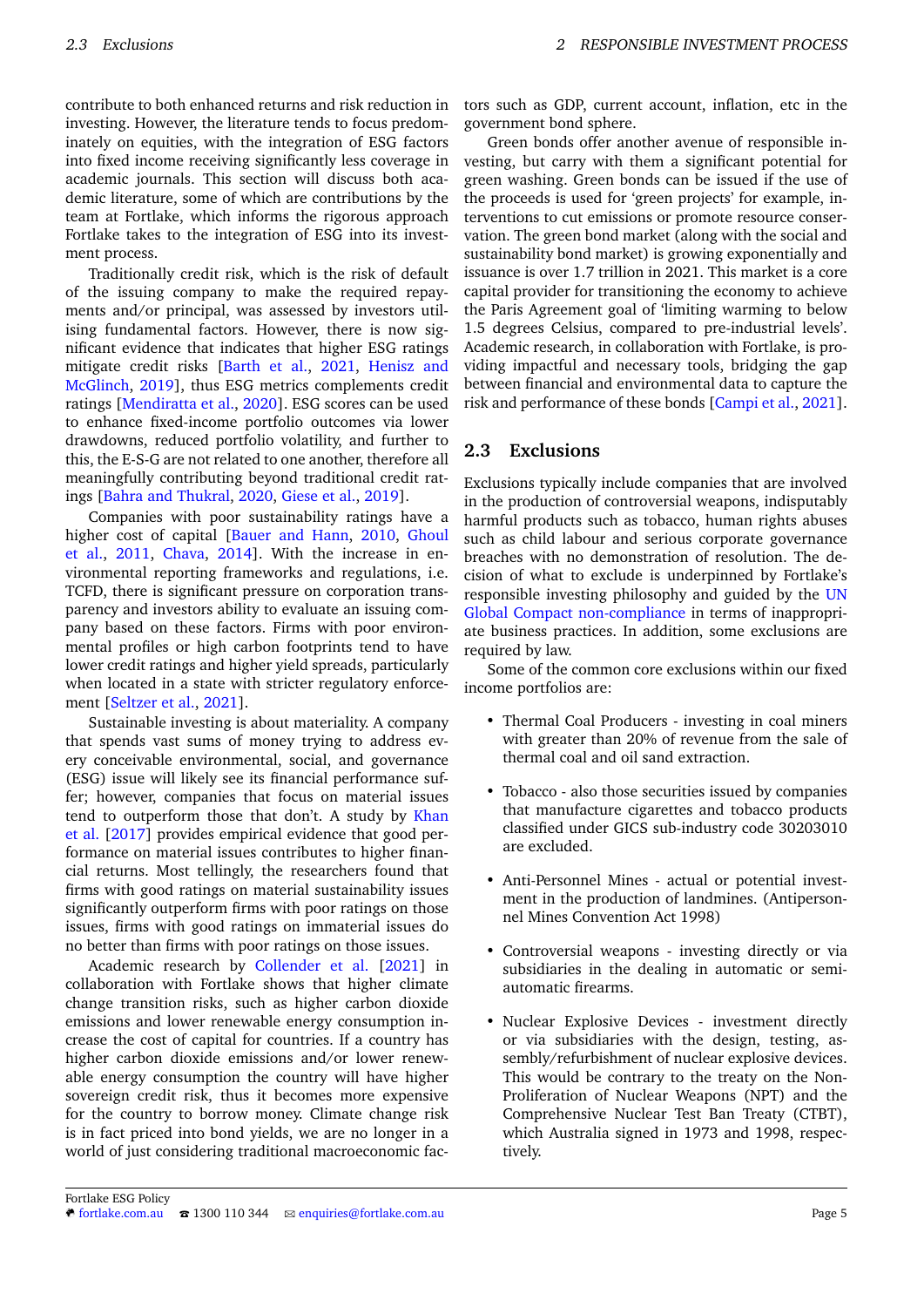contribute to both enhanced returns and risk reduction in investing. However, the literature tends to focus predominately on equities, with the integration of ESG factors into fixed income receiving significantly less coverage in academic journals. This section will discuss both academic literature, some of which are contributions by the team at Fortlake, which informs the rigorous approach Fortlake takes to the integration of ESG into its investment process.

Traditionally credit risk, which is the risk of default of the issuing company to make the required repayments and/or principal, was assessed by investors utilising fundamental factors. However, there is now significant evidence that indicates that higher ESG ratings mitigate credit risks [\[Barth et al.,](#page-7-12) [2021,](#page-7-12) [Henisz and](#page-7-1) [McGlinch,](#page-7-1) [2019\]](#page-7-1), thus ESG metrics complements credit ratings [\[Mendiratta et al.,](#page-7-13) [2020\]](#page-7-13). ESG scores can be used to enhance fixed-income portfolio outcomes via lower drawdowns, reduced portfolio volatility, and further to this, the E-S-G are not related to one another, therefore all meaningfully contributing beyond traditional credit ratings [\[Bahra and Thukral,](#page-7-14) [2020,](#page-7-14) [Giese et al.,](#page-8-0) [2019\]](#page-8-0).

Companies with poor sustainability ratings have a higher cost of capital [\[Bauer and Hann,](#page-8-1) [2010,](#page-8-1) [Ghoul](#page-8-2) [et al.,](#page-8-2) [2011,](#page-8-2) [Chava,](#page-8-3) [2014\]](#page-8-3). With the increase in environmental reporting frameworks and regulations, i.e. TCFD, there is significant pressure on corporation transparency and investors ability to evaluate an issuing company based on these factors. Firms with poor environmental profiles or high carbon footprints tend to have lower credit ratings and higher yield spreads, particularly when located in a state with stricter regulatory enforcement [\[Seltzer et al.,](#page-8-4) [2021\]](#page-8-4).

Sustainable investing is about materiality. A company that spends vast sums of money trying to address every conceivable environmental, social, and governance (ESG) issue will likely see its financial performance suffer; however, companies that focus on material issues tend to outperform those that don't. A study by [Khan](#page-8-5) [et al.](#page-8-5) [\[2017\]](#page-8-5) provides empirical evidence that good performance on material issues contributes to higher financial returns. Most tellingly, the researchers found that firms with good ratings on material sustainability issues significantly outperform firms with poor ratings on those issues, firms with good ratings on immaterial issues do no better than firms with poor ratings on those issues.

Academic research by [Collender et al.](#page-7-3) [\[2021\]](#page-7-3) in collaboration with Fortlake shows that higher climate change transition risks, such as higher carbon dioxide emissions and lower renewable energy consumption increase the cost of capital for countries. If a country has higher carbon dioxide emissions and/or lower renewable energy consumption the country will have higher sovereign credit risk, thus it becomes more expensive for the country to borrow money. Climate change risk is in fact priced into bond yields, we are no longer in a world of just considering traditional macroeconomic factors such as GDP, current account, inflation, etc in the government bond sphere.

Green bonds offer another avenue of responsible investing, but carry with them a significant potential for green washing. Green bonds can be issued if the use of the proceeds is used for 'green projects' for example, interventions to cut emissions or promote resource conservation. The green bond market (along with the social and sustainability bond market) is growing exponentially and issuance is over 1.7 trillion in 2021. This market is a core capital provider for transitioning the economy to achieve the Paris Agreement goal of 'limiting warming to below 1.5 degrees Celsius, compared to pre-industrial levels'. Academic research, in collaboration with Fortlake, is providing impactful and necessary tools, bridging the gap between financial and environmental data to capture the risk and performance of these bonds [\[Campi et al.,](#page-7-11) [2021\]](#page-7-11).

# <span id="page-4-0"></span>**2.3 Exclusions**

Exclusions typically include companies that are involved in the production of controversial weapons, indisputably harmful products such as tobacco, human rights abuses such as child labour and serious corporate governance breaches with no demonstration of resolution. The decision of what to exclude is underpinned by Fortlake's responsible investing philosophy and guided by the [UN](https://www.unglobalcompact.org/participation/report/cop) [Global Compact non-compliance](https://www.unglobalcompact.org/participation/report/cop) in terms of inappropriate business practices. In addition, some exclusions are required by law.

Some of the common core exclusions within our fixed income portfolios are:

- Thermal Coal Producers investing in coal miners with greater than 20% of revenue from the sale of thermal coal and oil sand extraction.
- Tobacco also those securities issued by companies that manufacture cigarettes and tobacco products classified under GICS sub-industry code 30203010 are excluded.
- Anti-Personnel Mines actual or potential investment in the production of landmines. (Antipersonnel Mines Convention Act 1998)
- Controversial weapons investing directly or via subsidiaries in the dealing in automatic or semiautomatic firearms.
- Nuclear Explosive Devices investment directly or via subsidiaries with the design, testing, assembly/refurbishment of nuclear explosive devices. This would be contrary to the treaty on the Non-Proliferation of Nuclear Weapons (NPT) and the Comprehensive Nuclear Test Ban Treaty (CTBT), which Australia signed in 1973 and 1998, respectively.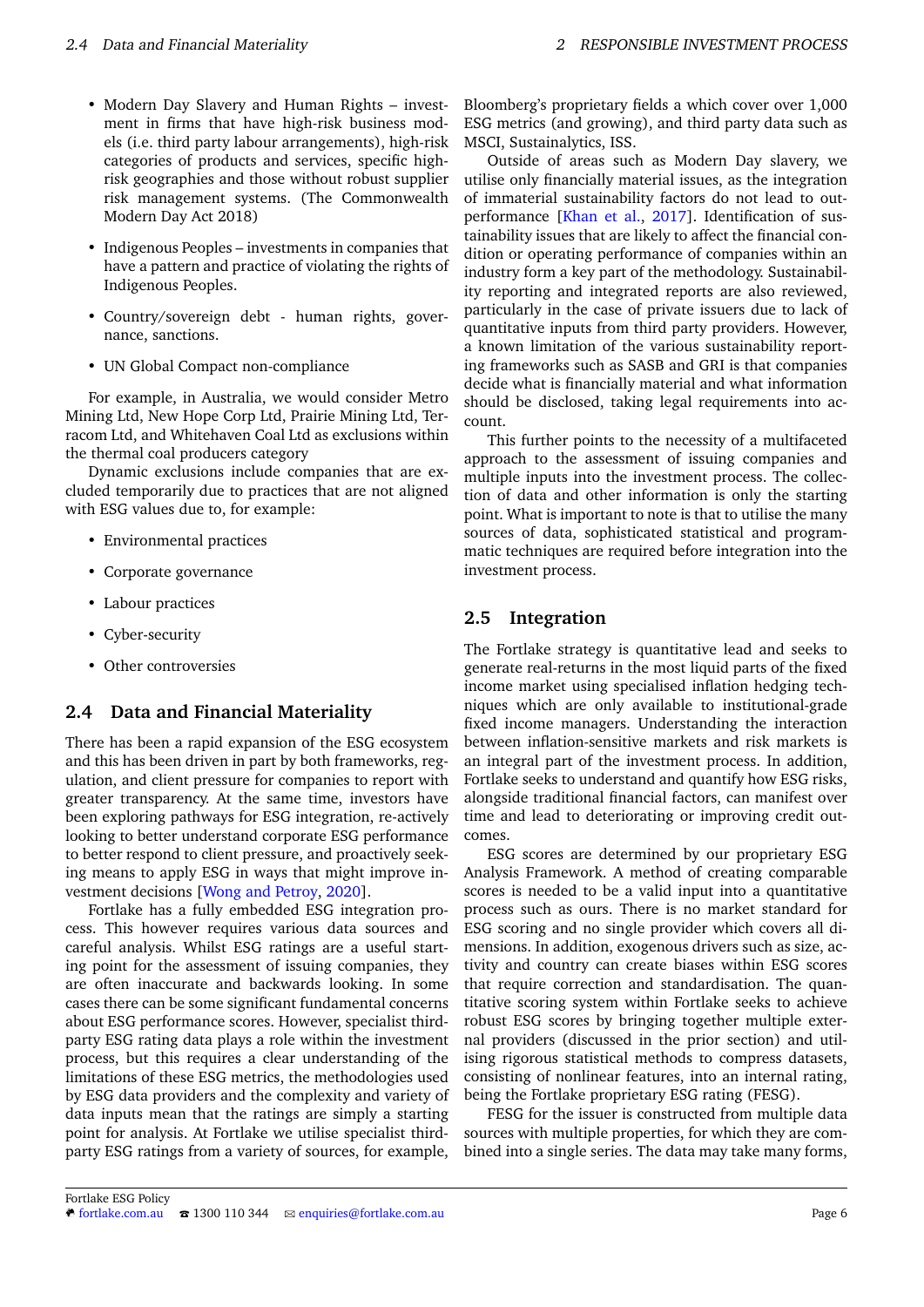- Modern Day Slavery and Human Rights investment in firms that have high-risk business models (i.e. third party labour arrangements), high-risk categories of products and services, specific highrisk geographies and those without robust supplier risk management systems. (The Commonwealth Modern Day Act 2018)
- Indigenous Peoples investments in companies that have a pattern and practice of violating the rights of Indigenous Peoples.
- Country/sovereign debt human rights, governance, sanctions.
- UN Global Compact non-compliance

For example, in Australia, we would consider Metro Mining Ltd, New Hope Corp Ltd, Prairie Mining Ltd, Terracom Ltd, and Whitehaven Coal Ltd as exclusions within the thermal coal producers category

Dynamic exclusions include companies that are excluded temporarily due to practices that are not aligned with ESG values due to, for example:

- Environmental practices
- Corporate governance
- Labour practices
- Cyber-security
- Other controversies

## <span id="page-5-0"></span>**2.4 Data and Financial Materiality**

There has been a rapid expansion of the ESG ecosystem and this has been driven in part by both frameworks, regulation, and client pressure for companies to report with greater transparency. At the same time, investors have been exploring pathways for ESG integration, re-actively looking to better understand corporate ESG performance to better respond to client pressure, and proactively seeking means to apply ESG in ways that might improve investment decisions [\[Wong and Petroy,](#page-8-6) [2020\]](#page-8-6).

Fortlake has a fully embedded ESG integration process. This however requires various data sources and careful analysis. Whilst ESG ratings are a useful starting point for the assessment of issuing companies, they are often inaccurate and backwards looking. In some cases there can be some significant fundamental concerns about ESG performance scores. However, specialist thirdparty ESG rating data plays a role within the investment process, but this requires a clear understanding of the limitations of these ESG metrics, the methodologies used by ESG data providers and the complexity and variety of data inputs mean that the ratings are simply a starting point for analysis. At Fortlake we utilise specialist thirdparty ESG ratings from a variety of sources, for example,

Bloomberg's proprietary fields a which cover over 1,000 ESG metrics (and growing), and third party data such as MSCI, Sustainalytics, ISS.

Outside of areas such as Modern Day slavery, we utilise only financially material issues, as the integration of immaterial sustainability factors do not lead to outperformance [\[Khan et al.,](#page-8-5) [2017\]](#page-8-5). Identification of sustainability issues that are likely to affect the financial condition or operating performance of companies within an industry form a key part of the methodology. Sustainability reporting and integrated reports are also reviewed, particularly in the case of private issuers due to lack of quantitative inputs from third party providers. However, a known limitation of the various sustainability reporting frameworks such as SASB and GRI is that companies decide what is financially material and what information should be disclosed, taking legal requirements into account.

This further points to the necessity of a multifaceted approach to the assessment of issuing companies and multiple inputs into the investment process. The collection of data and other information is only the starting point. What is important to note is that to utilise the many sources of data, sophisticated statistical and programmatic techniques are required before integration into the investment process.

## <span id="page-5-1"></span>**2.5 Integration**

The Fortlake strategy is quantitative lead and seeks to generate real-returns in the most liquid parts of the fixed income market using specialised inflation hedging techniques which are only available to institutional-grade fixed income managers. Understanding the interaction between inflation-sensitive markets and risk markets is an integral part of the investment process. In addition, Fortlake seeks to understand and quantify how ESG risks, alongside traditional financial factors, can manifest over time and lead to deteriorating or improving credit outcomes.

ESG scores are determined by our proprietary ESG Analysis Framework. A method of creating comparable scores is needed to be a valid input into a quantitative process such as ours. There is no market standard for ESG scoring and no single provider which covers all dimensions. In addition, exogenous drivers such as size, activity and country can create biases within ESG scores that require correction and standardisation. The quantitative scoring system within Fortlake seeks to achieve robust ESG scores by bringing together multiple external providers (discussed in the prior section) and utilising rigorous statistical methods to compress datasets, consisting of nonlinear features, into an internal rating, being the Fortlake proprietary ESG rating (FESG).

FESG for the issuer is constructed from multiple data sources with multiple properties, for which they are combined into a single series. The data may take many forms,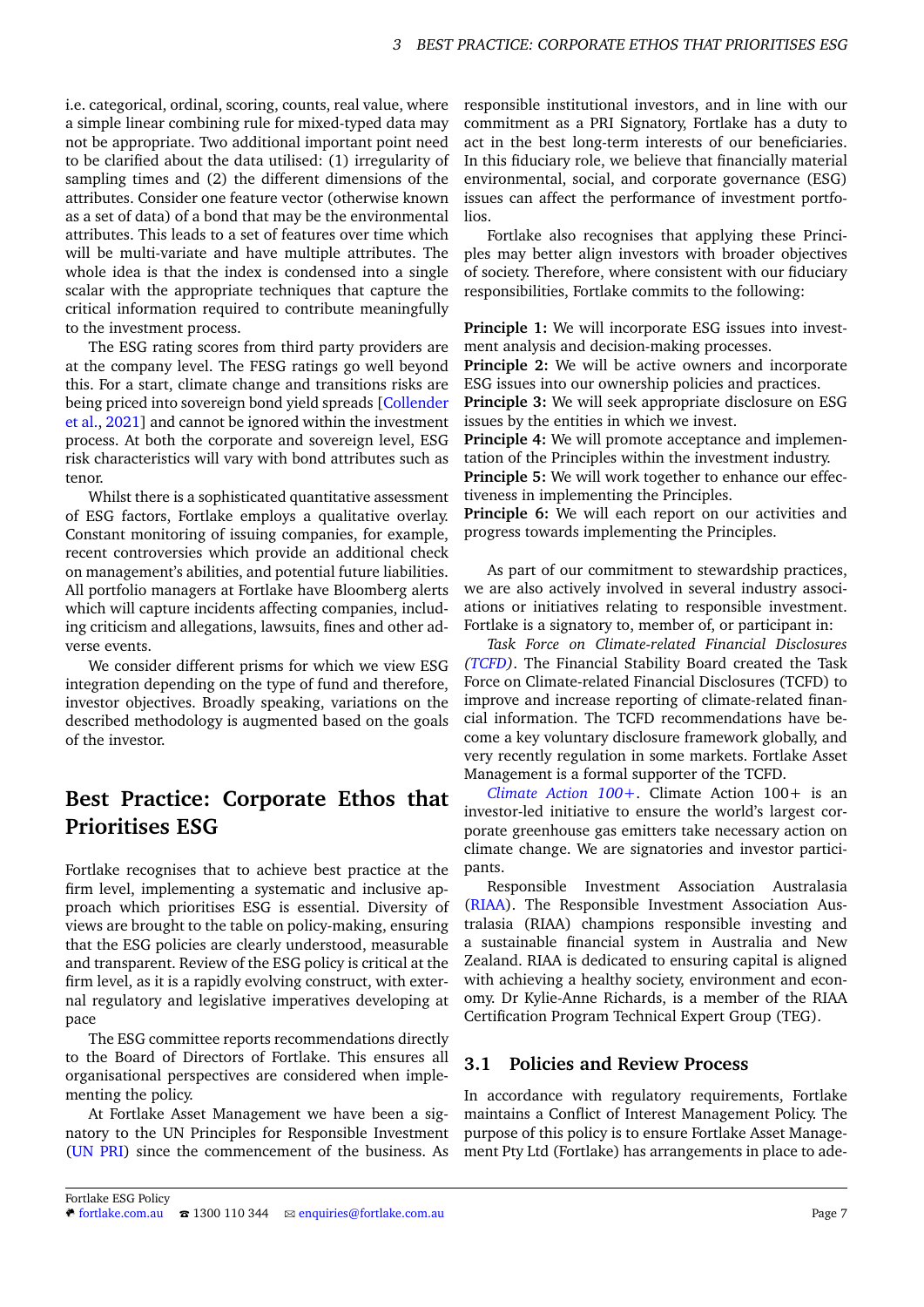i.e. categorical, ordinal, scoring, counts, real value, where a simple linear combining rule for mixed-typed data may not be appropriate. Two additional important point need to be clarified about the data utilised: (1) irregularity of sampling times and (2) the different dimensions of the attributes. Consider one feature vector (otherwise known as a set of data) of a bond that may be the environmental attributes. This leads to a set of features over time which will be multi-variate and have multiple attributes. The whole idea is that the index is condensed into a single scalar with the appropriate techniques that capture the critical information required to contribute meaningfully to the investment process.

The ESG rating scores from third party providers are at the company level. The FESG ratings go well beyond this. For a start, climate change and transitions risks are being priced into sovereign bond yield spreads [\[Collender](#page-7-3) [et al.,](#page-7-3) [2021\]](#page-7-3) and cannot be ignored within the investment process. At both the corporate and sovereign level, ESG risk characteristics will vary with bond attributes such as tenor.

Whilst there is a sophisticated quantitative assessment of ESG factors, Fortlake employs a qualitative overlay. Constant monitoring of issuing companies, for example, recent controversies which provide an additional check on management's abilities, and potential future liabilities. All portfolio managers at Fortlake have Bloomberg alerts which will capture incidents affecting companies, including criticism and allegations, lawsuits, fines and other adverse events.

We consider different prisms for which we view ESG integration depending on the type of fund and therefore, investor objectives. Broadly speaking, variations on the described methodology is augmented based on the goals of the investor.

# <span id="page-6-0"></span>**Best Practice: Corporate Ethos that Prioritises ESG**

Fortlake recognises that to achieve best practice at the firm level, implementing a systematic and inclusive approach which prioritises ESG is essential. Diversity of views are brought to the table on policy-making, ensuring that the ESG policies are clearly understood, measurable and transparent. Review of the ESG policy is critical at the firm level, as it is a rapidly evolving construct, with external regulatory and legislative imperatives developing at pace

The ESG committee reports recommendations directly to the Board of Directors of Fortlake. This ensures all organisational perspectives are considered when implementing the policy.

At Fortlake Asset Management we have been a signatory to the UN Principles for Responsible Investment [\(UN PRI\)](https://www.unpri.org/) since the commencement of the business. As responsible institutional investors, and in line with our commitment as a PRI Signatory, Fortlake has a duty to act in the best long-term interests of our beneficiaries. In this fiduciary role, we believe that financially material environmental, social, and corporate governance (ESG) issues can affect the performance of investment portfolios.

Fortlake also recognises that applying these Principles may better align investors with broader objectives of society. Therefore, where consistent with our fiduciary responsibilities, Fortlake commits to the following:

**Principle 1:** We will incorporate ESG issues into investment analysis and decision-making processes. **Principle 2:** We will be active owners and incorporate ESG issues into our ownership policies and practices. **Principle 3:** We will seek appropriate disclosure on ESG issues by the entities in which we invest. **Principle 4:** We will promote acceptance and implementation of the Principles within the investment industry. **Principle 5:** We will work together to enhance our effec-

tiveness in implementing the Principles. **Principle 6:** We will each report on our activities and progress towards implementing the Principles.

As part of our commitment to stewardship practices, we are also actively involved in several industry associations or initiatives relating to responsible investment. Fortlake is a signatory to, member of, or participant in:

*Task Force on Climate-related Financial Disclosures [\(TCFD\)](https://www.fsb-tcfd.org/)*. The Financial Stability Board created the Task Force on Climate-related Financial Disclosures (TCFD) to improve and increase reporting of climate-related financial information. The TCFD recommendations have become a key voluntary disclosure framework globally, and very recently regulation in some markets. Fortlake Asset Management is a formal supporter of the TCFD.

*[Climate Action 100+](https://www.climateaction100.org/)*. Climate Action 100+ is an investor-led initiative to ensure the world's largest corporate greenhouse gas emitters take necessary action on climate change. We are signatories and investor participants.

Responsible Investment Association Australasia [\(RIAA\)](https://responsibleinvestment.org/). The Responsible Investment Association Australasia (RIAA) champions responsible investing and a sustainable financial system in Australia and New Zealand. RIAA is dedicated to ensuring capital is aligned with achieving a healthy society, environment and economy. Dr Kylie-Anne Richards, is a member of the RIAA Certification Program Technical Expert Group (TEG).

## <span id="page-6-1"></span>**3.1 Policies and Review Process**

In accordance with regulatory requirements, Fortlake maintains a Conflict of Interest Management Policy. The purpose of this policy is to ensure Fortlake Asset Management Pty Ltd (Fortlake) has arrangements in place to ade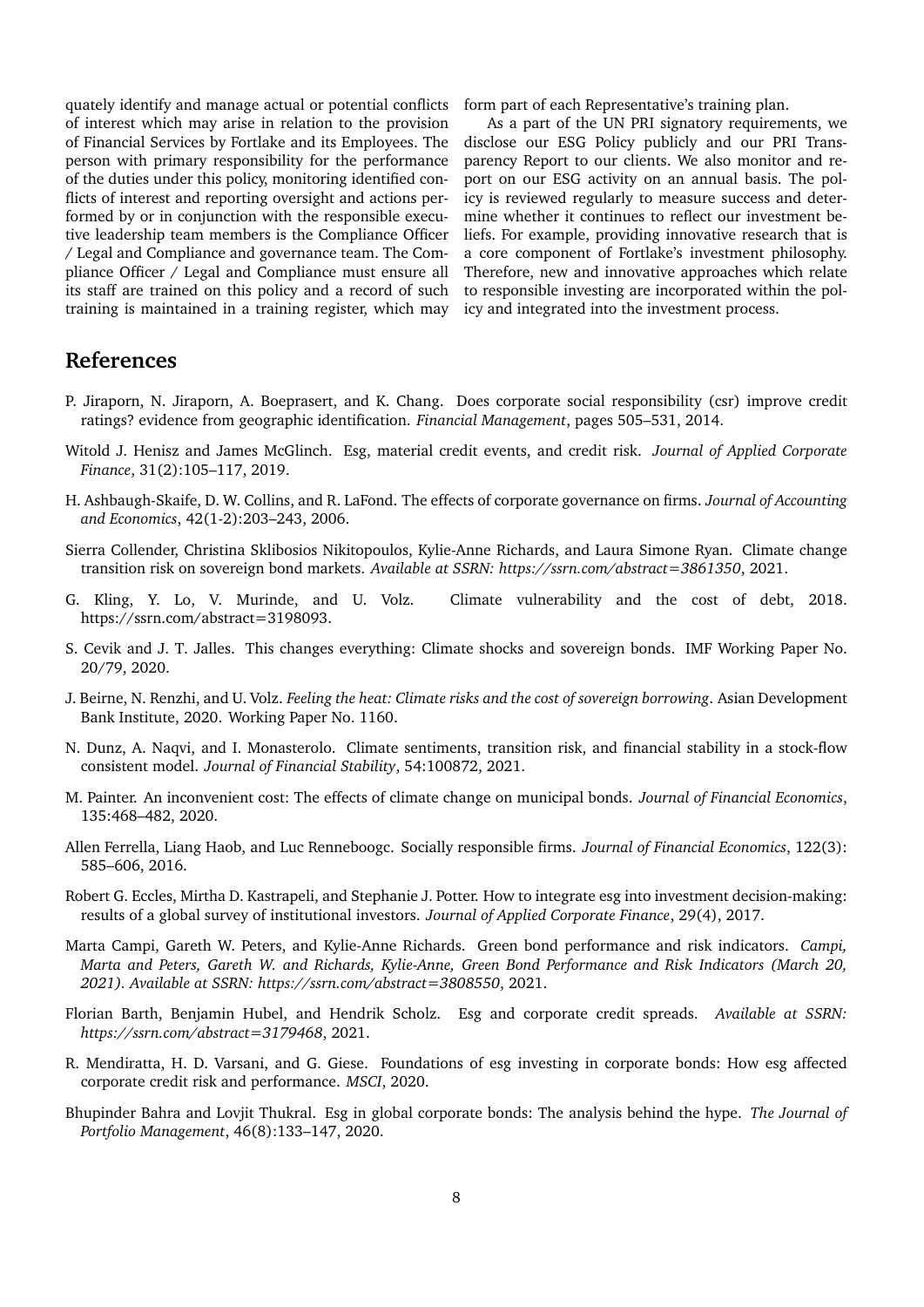quately identify and manage actual or potential conflicts of interest which may arise in relation to the provision of Financial Services by Fortlake and its Employees. The person with primary responsibility for the performance of the duties under this policy, monitoring identified conflicts of interest and reporting oversight and actions performed by or in conjunction with the responsible executive leadership team members is the Compliance Officer / Legal and Compliance and governance team. The Compliance Officer / Legal and Compliance must ensure all its staff are trained on this policy and a record of such training is maintained in a training register, which may

form part of each Representative's training plan.

As a part of the UN PRI signatory requirements, we disclose our ESG Policy publicly and our PRI Transparency Report to our clients. We also monitor and report on our ESG activity on an annual basis. The policy is reviewed regularly to measure success and determine whether it continues to reflect our investment beliefs. For example, providing innovative research that is a core component of Fortlake's investment philosophy. Therefore, new and innovative approaches which relate to responsible investing are incorporated within the policy and integrated into the investment process.

# **References**

- <span id="page-7-0"></span>P. Jiraporn, N. Jiraporn, A. Boeprasert, and K. Chang. Does corporate social responsibility (csr) improve credit ratings? evidence from geographic identification. *Financial Management*, pages 505–531, 2014.
- <span id="page-7-1"></span>Witold J. Henisz and James McGlinch. Esg, material credit events, and credit risk. *Journal of Applied Corporate Finance*, 31(2):105–117, 2019.
- <span id="page-7-2"></span>H. Ashbaugh-Skaife, D. W. Collins, and R. LaFond. The effects of corporate governance on firms. *Journal of Accounting and Economics*, 42(1-2):203–243, 2006.
- <span id="page-7-3"></span>Sierra Collender, Christina Sklibosios Nikitopoulos, Kylie-Anne Richards, and Laura Simone Ryan. Climate change transition risk on sovereign bond markets. *Available at SSRN: https://ssrn.com/abstract=3861350*, 2021.
- <span id="page-7-4"></span>G. Kling, Y. Lo, V. Murinde, and U. Volz. Climate vulnerability and the cost of debt, 2018. https://ssrn.com/abstract=3198093.
- <span id="page-7-5"></span>S. Cevik and J. T. Jalles. This changes everything: Climate shocks and sovereign bonds. IMF Working Paper No. 20/79, 2020.
- <span id="page-7-6"></span>J. Beirne, N. Renzhi, and U. Volz. *Feeling the heat: Climate risks and the cost of sovereign borrowing*. Asian Development Bank Institute, 2020. Working Paper No. 1160.
- <span id="page-7-7"></span>N. Dunz, A. Naqvi, and I. Monasterolo. Climate sentiments, transition risk, and financial stability in a stock-flow consistent model. *Journal of Financial Stability*, 54:100872, 2021.
- <span id="page-7-8"></span>M. Painter. An inconvenient cost: The effects of climate change on municipal bonds. *Journal of Financial Economics*, 135:468–482, 2020.
- <span id="page-7-9"></span>Allen Ferrella, Liang Haob, and Luc Renneboogc. Socially responsible firms. *Journal of Financial Economics*, 122(3): 585–606, 2016.
- <span id="page-7-10"></span>Robert G. Eccles, Mirtha D. Kastrapeli, and Stephanie J. Potter. How to integrate esg into investment decision-making: results of a global survey of institutional investors. *Journal of Applied Corporate Finance*, 29(4), 2017.
- <span id="page-7-11"></span>Marta Campi, Gareth W. Peters, and Kylie-Anne Richards. Green bond performance and risk indicators. *Campi, Marta and Peters, Gareth W. and Richards, Kylie-Anne, Green Bond Performance and Risk Indicators (March 20, 2021). Available at SSRN: https://ssrn.com/abstract=3808550*, 2021.
- <span id="page-7-12"></span>Florian Barth, Benjamin Hubel, and Hendrik Scholz. Esg and corporate credit spreads. *Available at SSRN: https://ssrn.com/abstract=3179468*, 2021.
- <span id="page-7-13"></span>R. Mendiratta, H. D. Varsani, and G. Giese. Foundations of esg investing in corporate bonds: How esg affected corporate credit risk and performance. *MSCI*, 2020.
- <span id="page-7-14"></span>Bhupinder Bahra and Lovjit Thukral. Esg in global corporate bonds: The analysis behind the hype. *The Journal of Portfolio Management*, 46(8):133–147, 2020.